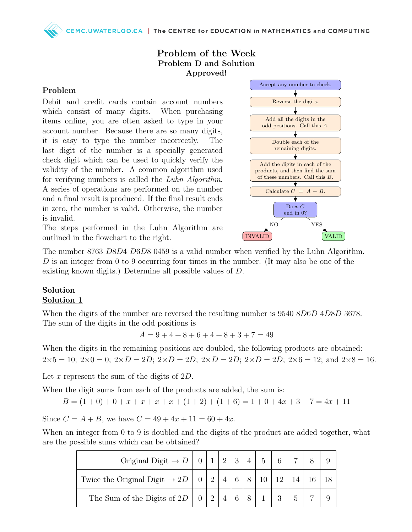### Problem of the Week Problem D and Solution Approved!

#### Problem

Debit and credit cards contain account numbers which consist of many digits. When purchasing items online, you are often asked to type in your account number. Because there are so many digits, it is easy to type the number incorrectly. The last digit of the number is a specially generated check digit which can be used to quickly verify the validity of the number. A common algorithm used for verifying numbers is called the Luhn Algorithm. A series of operations are performed on the number and a final result is produced. If the final result ends in zero, the number is valid. Otherwise, the number is invalid.





The number 8763 D8D4 D6D8 0459 is a valid number when verified by the Luhn Algorithm. D is an integer from 0 to 9 occurring four times in the number. (It may also be one of the existing known digits.) Determine all possible values of D.

#### Solution Solution 1

When the digits of the number are reversed the resulting number is  $9540 8D6D 4D8D 3678$ . The sum of the digits in the odd positions is

$$
A = 9 + 4 + 8 + 6 + 4 + 8 + 3 + 7 = 49
$$

When the digits in the remaining positions are doubled, the following products are obtained:  $2\times5 = 10$ ;  $2\times0 = 0$ ;  $2\times D = 2D$ ;  $2\times D = 2D$ ;  $2\times D = 2D$ ;  $2\times D = 2D$ ;  $2\times 6 = 12$ ; and  $2\times8 = 16$ .

Let  $x$  represent the sum of the digits of  $2D$ .

When the digit sums from each of the products are added, the sum is:

$$
B = (1+0) + 0 + x + x + x + x + (1+2) + (1+6) = 1 + 0 + 4x + 3 + 7 = 4x + 11
$$

Since  $C = A + B$ , we have  $C = 49 + 4x + 11 = 60 + 4x$ .

When an integer from 0 to 9 is doubled and the digits of the product are added together, what are the possible sums which can be obtained?

| Original Digit $\rightarrow$ D    0   1   2   3   4   5                                                                                                             |  |  |  |            |  |  |
|---------------------------------------------------------------------------------------------------------------------------------------------------------------------|--|--|--|------------|--|--|
| Twice the Original Digit $\rightarrow 2D \parallel 0 \parallel 2 \parallel 4 \parallel 6 \parallel 8 \parallel 10 \parallel 12 \parallel 14 \parallel 16 \parallel$ |  |  |  |            |  |  |
| The Sum of the Digits of 2D $\parallel$ 0   2   4   6                                                                                                               |  |  |  | $1 \mid 3$ |  |  |